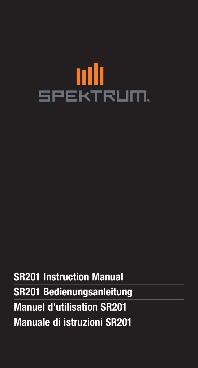# nili **SPEKTRUM**

**SR201 Instruction Manual SR201 Bedienungsanleitung Manuel d'utilisation SR201 Manuale di istruzioni SR201**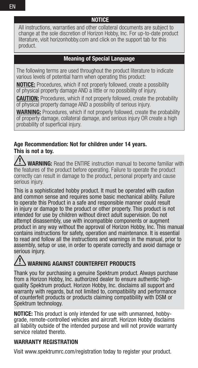**NOTICE**

All instructions, warranties and other collateral documents are subject to change at the sole discretion of Horizon Hobby, Inc. For up-to-date product literature, visit horizonhobby.com and click on the support tab for this product.

#### **Meaning of Special Language**

The following terms are used throughout the product literature to indicate various levels of potential harm when operating this product:

**NOTICE:** Procedures, which if not properly followed, create a possibility of physical property damage AND a little or no possibility of injury.

**CAUTION:** Procedures, which if not properly followed, create the probability of physical property damage AND a possibility of serious injury.

**WARNING:** Procedures, which if not properly followed, create the probability of property damage, collateral damage, and serious injury OR create a high probability of superficial injury.

#### **Age Recommendation: Not for children under 14 years. This is not a toy.**

 **WARNING:** Read the ENTIRE instruction manual to become familiar with the features of the product before operating. Failure to operate the product correctly can result in damage to the product, personal property and cause serious iniury.

This is a sophisticated hobby product. It must be operated with caution and common sense and requires some basic mechanical ability. Failure to operate this Product in a safe and responsible manner could result in injury or damage to the product or other property. This product is not intended for use by children without direct adult supervision. Do not attempt disassembly, use with incompatible components or augment product in any way without the approval of Horizon Hobby, Inc. This manual contains instructions for safety, operation and maintenance. It is essential to read and follow all the instructions and warnings in the manual, prior to assembly, setup or use, in order to operate correctly and avoid damage or serious iniurv.

#### **WARNING AGAINST COUNTERFEIT PRODUCTS**

Thank you for purchasing a genuine Spektrum product. Always purchase from a Horizon Hobby, Inc. authorized dealer to ensure authentic highquality Spektrum product. Horizon Hobby, Inc. disclaims all support and warranty with regards, but not limited to, compatibility and performance of counterfeit products or products claiming compatibility with DSM or Spektrum technology.

**NOTICE:** This product is only intended for use with unmanned, hobbygrade, remote-controlled vehicles and aircraft. Horizon Hobby disclaims all liability outside of the intended purpose and will not provide warranty service related thereto.

#### **WARRANTY REGISTRATION**

Visit www.spektrumrc.com/registration today to register your product.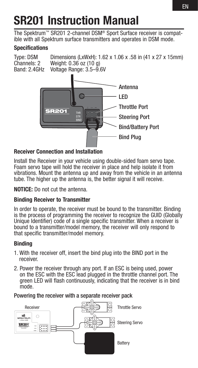## **SR201 Instruction Manual**

The Spektrum™ SR201 2-channel DSM® Sport Surface receiver is compatible with all Spektrum surface transmitters and operates in DSM mode.

#### **Specifications**

Type: DSM Dimensions (LxWxH): 1.62 x 1.06 x .58 in (41 x 27 x 15mm)<br>Channels: 2 Weight: 0.36 oz (10 g) Channels: 2 Weight: 0.36 oz (10 g)<br>Band: 2.4GHz Voltage Bange: 3.5–9.6 Voltage Range: 3.5–9.6V



#### **Receiver Connection and Installation**

Install the Receiver in your vehicle using double-sided foam servo tape. Foam servo tape will hold the receiver in place and help isolate it from vibrations. Mount the antenna up and away from the vehicle in an antenna tube. The higher up the antenna is, the better signal it will receive.

**NOTICE:** Do not cut the antenna.

#### **Binding Receiver to Transmitter**

In order to operate, the receiver must be bound to the transmitter. Binding is the process of programming the receiver to recognize the GUID (Globally Unique Identifier) code of a single specific transmitter. When a receiver is bound to a transmitter/model memory, the receiver will only respond to that specific transmitter/model memory.

#### **Binding**

- 1. With the receiver off, insert the bind plug into the BIND port in the receiver.
- 2. Power the receiver through any port. If an ESC is being used, power on the ESC with the ESC lead plugged in the throttle channel port. The green LED will flash continuously, indicating that the receiver is in bind mode.

Powering the receiver with a separate receiver pack

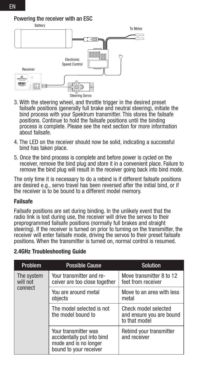Powering the receiver with an ESC<br>Battery



- 3. With the steering wheel, and throttle trigger in the desired preset failsafe positions (generally full brake and neutral steering), initiate the bind process with your Spektrum transmitter. This stores the failsafe positions. Continue to hold the failsafe positions until the binding process is complete. Please see the next section for more information about failsafe.
- 4. The LED on the receiver should now be solid, indicating a successful bind has taken place.
- 5. Once the bind process is complete and before power is cycled on the receiver, remove the bind plug and store it in a convenient place. Failure to remove the bind plug will result in the receiver going back into bind mode.

The only time it is necessary to do a rebind is if different failsafe positions are desired e.g., servo travel has been reversed after the initial bind, or if the receiver is to be bound to a different model memory.

#### **Failsafe**

Failsafe positions are set during binding. In the unlikely event that the radio link is lost during use, the receiver will drive the servos to their preprogrammed failsafe positions (normally full brakes and straight steering). If the receiver is turned on prior to turning on the transmitter, the receiver will enter failsafe mode, driving the servos to their preset failsafe positions. When the transmitter is turned on, normal control is resumed.

| Problem                | <b>Possible Cause</b>                                                                                 | <b>Solution</b>                                                   |
|------------------------|-------------------------------------------------------------------------------------------------------|-------------------------------------------------------------------|
| The system<br>will not | Your transmitter and re-<br>ceiver are too close together                                             | Move transmitter 8 to 12<br>feet from receiver                    |
| connect                | You are around metal<br>objects                                                                       | Move to an area with less<br>metal                                |
|                        | The model selected is not<br>the model bound to                                                       | Check model selected<br>and ensure you are bound<br>to that model |
|                        | Your transmitter was<br>accidentally put into bind<br>mode and is no longer<br>bound to your receiver | Rebind your transmitter<br>and receiver                           |

#### **2.4GHz Troubleshooting Guide**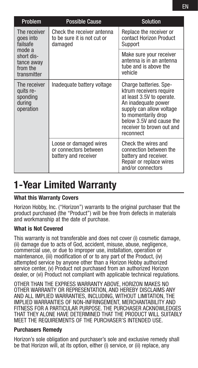| Problem                                                                                                | <b>Possible Cause</b>                                                   | <b>Solution</b>                                                                                                                                                                                                                |
|--------------------------------------------------------------------------------------------------------|-------------------------------------------------------------------------|--------------------------------------------------------------------------------------------------------------------------------------------------------------------------------------------------------------------------------|
| The receiver<br>goes into<br>failsafe<br>mode a<br>short dis-<br>tance away<br>from the<br>transmitter | Check the receiver antenna<br>to be sure it is not cut or<br>damaged    | Replace the receiver or<br>contact Horizon Product<br>Support                                                                                                                                                                  |
|                                                                                                        |                                                                         | Make sure your receiver<br>antenna is in an antenna<br>tube and is above the<br>vehicle                                                                                                                                        |
| The receiver<br>quits re-<br>sponding<br>during<br>operation                                           | Inadequate battery voltage                                              | Charge batteries. Spe-<br>ktrum receivers require<br>at least 3.5V to operate.<br>An inadequate power<br>supply can allow voltage<br>to momentarily drop<br>below 3.5V and cause the<br>receiver to brown out and<br>reconnect |
|                                                                                                        | Loose or damaged wires<br>or connectors between<br>battery and receiver | Check the wires and<br>connection between the<br>battery and receiver.<br>Repair or replace wires<br>and/or connectors                                                                                                         |

### **1-Year Limited Warranty**

#### **What this Warranty Covers**

Horizon Hobby, Inc. ("Horizon") warrants to the original purchaser that the product purchased (the "Product") will be free from defects in materials and workmanship at the date of purchase.

#### **What is Not Covered**

This warranty is not transferable and does not cover (i) cosmetic damage, (ii) damage due to acts of God, accident, misuse, abuse, negligence, commercial use, or due to improper use, installation, operation or maintenance, (iii) modification of or to any part of the Product, (iv) attempted service by anyone other than a Horizon Hobby authorized service center, (v) Product not purchased from an authorized Horizon dealer, or (vi) Product not compliant with applicable technical regulations.

OTHER THAN THE EXPRESS WARRANTY ABOVE, HORIZON MAKES NO OTHER WARRANTY OR REPRESENTATION, AND HEREBY DISCLAIMS ANY AND ALL IMPLIED WARRANTIES, INCLUDING, WITHOUT LIMITATION, THE IMPLIED WARRANTIES OF NON-INFRINGEMENT, MERCHANTABILITY AND FITNESS FOR A PARTICULAR PURPOSE. THE PURCHASER ACKNOWLEDGES THAT THEY ALONE HAVE DETERMINED THAT THE PRODUCT WILL SUITABLY MEET THE REQUIREMENTS OF THE PURCHASER'S INTENDED USE.

#### **Purchasers Remedy**

Horizon's sole obligation and purchaser's sole and exclusive remedy shall be that Horizon will, at its option, either (i) service, or (ii) replace, any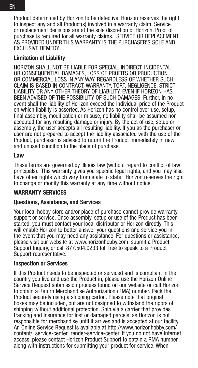Product determined by Horizon to be defective. Horizon reserves the right to inspect any and all Product(s) involved in a warranty claim. Service or replacement decisions are at the sole discretion of Horizon. Proof of purchase is required for all warranty claims. SERVICE OR REPLACEMENT AS PROVIDED UNDER THIS WARRANTY IS THE PURCHASER'S SOLE AND EXCLUSIVE REMEDY.

#### **Limitation of Liability**

HORIZON SHALL NOT BE LIABLE FOR SPECIAL, INDIRECT, INCIDENTAL OR CONSEQUENTIAL DAMAGES, LOSS OF PROFITS OR PRODUCTION OR COMMERCIAL LOSS IN ANY WAY, REGARDLESS OF WHETHER SUCH CLAIM IS BASED IN CONTRACT, WARRANTY, TORT, NEGLIGENCE, STRICT LIABILITY OR ANY OTHER THEORY OF LIABILITY, EVEN IF HORIZON HAS BEEN ADVISED OF THE POSSIBILITY OF SUCH DAMAGES. Further, in no event shall the liability of Horizon exceed the individual price of the Product on which liability is asserted. As Horizon has no control over use, setup, final assembly, modification or misuse, no liability shall be assumed nor accepted for any resulting damage or injury. By the act of use, setup or assembly, the user accepts all resulting liability. If you as the purchaser or user are not prepared to accept the liability associated with the use of the Product, purchaser is advised to return the Product immediately in new and unused condition to the place of purchase.

#### **Law**

These terms are governed by Illinois law (without regard to conflict of law principals). This warranty gives you specific legal rights, and you may also have other rights which vary from state to state. Horizon reserves the right to change or modify this warranty at any time without notice.

#### **WARRANTY SERVICES**

#### **Questions, Assistance, and Services**

Your local hobby store and/or place of purchase cannot provide warranty support or service. Once assembly, setup or use of the Product has been started, you must contact your local distributor or Horizon directly. This will enable Horizon to better answer your questions and service you in the event that you may need any assistance. For questions or assistance, please visit our website at www.horizonhobby.com, submit a Product Support Inquiry, or call 877.504.0233 toll free to speak to a Product Support representative.

#### **Inspection or Services**

If this Product needs to be inspected or serviced and is compliant in the country you live and use the Product in, please use the Horizon Online Service Request submission process found on our website or call Horizon to obtain a Return Merchandise Authorization (RMA) number. Pack the Product securely using a shipping carton. Please note that original boxes may be included, but are not designed to withstand the rigors of shipping without additional protection. Ship via a carrier that provides tracking and insurance for lost or damaged parcels, as Horizon is not responsible for merchandise until it arrives and is accepted at our facility. An Online Service Request is available at http://www.horizonhobby.com/ content/ service-center\_render-service-center. If you do not have internet access, please contact Horizon Product Support to obtain a RMA number along with instructions for submitting your product for service. When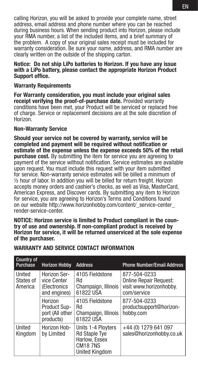calling Horizon, you will be asked to provide your complete name, street address, email address and phone number where you can be reached during business hours. When sending product into Horizon, please include your RMA number, a list of the included items, and a brief summary of the problem. A copy of your original sales receipt must be included for warranty consideration. Be sure your name, address, and RMA number are clearly written on the outside of the shipping carton.

#### **Notice: Do not ship LiPo batteries to Horizon. If you have any issue with a LiPo battery, please contact the appropriate Horizon Product Support office.**

#### **Warranty Requirements**

**For Warranty consideration, you must include your original sales receipt verifying the proof-of-purchase date.** Provided warranty conditions have been met, your Product will be serviced or replaced free of charge. Service or replacement decisions are at the sole discretion of Horizon.

#### **Non-Warranty Service**

**Should your service not be covered by warranty, service will be completed and payment will be required without notification or estimate of the expense unless the expense exceeds 50% of the retail purchase cost.** By submitting the item for service you are agreeing to payment of the service without notification. Service estimates are available upon request. You must include this request with your item submitted for service. Non-warranty service estimates will be billed a minimum of ½ hour of labor. In addition you will be billed for return freight. Horizon accepts money orders and cashier's checks, as well as Visa, MasterCard, American Express, and Discover cards. By submitting any item to Horizon for service, you are agreeing to Horizon's Terms and Conditions found on our website http://www.horizonhobby.com/content/\_service-center\_ render-service-center.

**NOTICE: Horizon service is limited to Product compliant in the country of use and ownership. If non-compliant product is received by Horizon for service, it will be returned unserviced at the sole expense of the purchaser.** 

| Country of<br>Purchase         | <b>Horizon Hobby</b>                                           | <b>Address</b>                                                                                         | <b>Phone Number/Email Address</b>                                                       |
|--------------------------------|----------------------------------------------------------------|--------------------------------------------------------------------------------------------------------|-----------------------------------------------------------------------------------------|
| United<br>States of<br>America | Horizon Ser-<br>vice Center<br>(Electronics<br>and engines)    | 4105 Fieldstone<br>Rd<br>Champaign, Illinois<br>61822 USA                                              | 877-504-0233<br><b>Online Repair Request:</b><br>visit www.horizonhobby.<br>com/service |
|                                | Horizon<br><b>Product Sup-</b><br>port (All other<br>products) | 4105 Fieldstone<br>Rd<br>Champaign, Illinois<br>61822 USA                                              | 877-504-0233<br>productsupport@horizon-<br>hobby.com                                    |
| United<br>Kingdom              | Horizon Hob-<br>by Limited                                     | Units 1-4 Ployters<br><b>Rd Staple Tye</b><br>Harlow, Essex<br><b>CM187NS</b><br><b>United Kingdom</b> | +44 (0) 1279 641 097<br>sales@horizonhobby.co.uk                                        |

#### **WARRANTY AND SERVICE CONTACT INFORMATION**